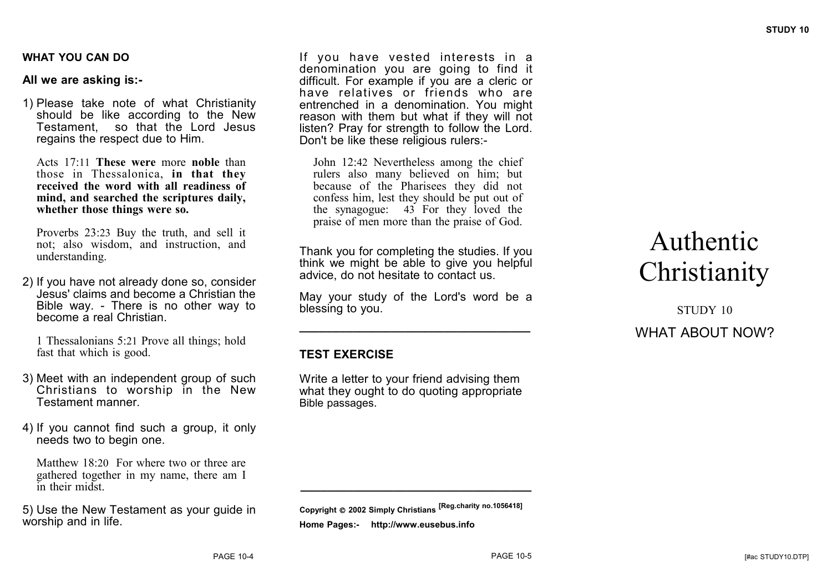#### **WHAT YOU CAN DO**

## **All we are asking is:-**

1) Please take note of what Christianity should be like according to the New Testament, so that the Lord Jesus regains the respect due to Him.

Acts 17:11 **These were** more **noble** than those in Thessalonica, **in that they received the word with all readiness of mind, and searched the scriptures daily, whether those things were so.**

Proverbs 23:23 Buy the truth, and sell it not; also wisdom, and instruction, and understanding.

2) If you have not already done so, consider Jesus' claims and become a Christian the Bible way. - There is no other way to become a real Christian.

1 Thessalonians 5:21 Prove all things; hold fast that which is good.

- 3) Meet with an independent group of such Christians to worship in the New Testament manner.
- 4) If you cannot find such a group, it only needs two to begin one.

Matthew 18:20 For where two or three are gathered together in my name, there am I in their midst.

5) Use the New Testament as your guide in worship and in life.

If you have vested interests in a denomination you are going to find it difficult. For example if you are a cleric or have relatives or friends who are entrenched in a denomination. You might reason with them but what if they will not listen? Pray for strength to follow the Lord. Don't be like these religious rulers:-

John 12:42 Nevertheless among the chief rulers also many believed on him; but because of the Pharisees they did not confess him, lest they should be put out of the synagogue: 43 For they loved the praise of men more than the praise of God.

Thank you for completing the studies. If you think we might be able to give you helpful advice, do not hesitate to contact us.

May your study of the Lord's word be a blessing to you.

**\_\_\_\_\_\_\_\_\_\_\_\_\_\_\_\_\_\_\_\_\_\_\_\_\_\_\_\_\_\_\_\_\_\_\_**

# **TEST EXERCISE**

Write a letter to your friend advising them what they ought to do quoting appropriate Bible passages.

**Copyright 2002 Simply Christians [Reg.charity no.1056418] Home Pages:- http://www.eusebus.info**

**\_\_\_\_\_\_\_\_\_\_\_\_\_\_\_\_\_\_\_\_\_\_\_\_\_\_\_\_\_\_\_\_\_\_\_**

# Authentic **Christianity**

STUDY 10 WHAT ABOUT NOW?